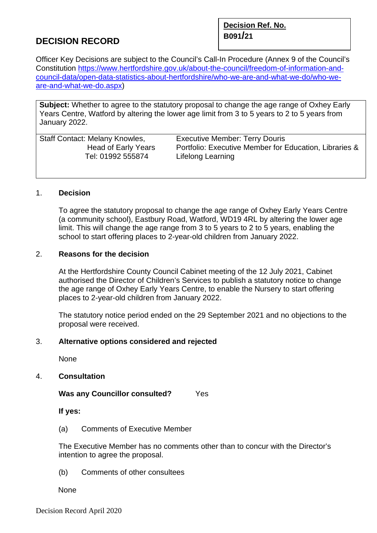# **B091/<sup>21</sup> DECISION RECORD**

**Decision Ref. No.** 

Officer Key Decisions are subject to the Council's Call-In Procedure (Annex 9 of the Council's Constitution [https://www.hertfordshire.gov.uk/about-the-council/freedom-of-information-and](https://www.hertfordshire.gov.uk/about-the-council/freedom-of-information-and-council-data/open-data-statistics-about-hertfordshire/who-we-are-and-what-we-do/who-we-are-and-what-we-do.aspx)[council-data/open-data-statistics-about-hertfordshire/who-we-are-and-what-we-do/who-we](https://www.hertfordshire.gov.uk/about-the-council/freedom-of-information-and-council-data/open-data-statistics-about-hertfordshire/who-we-are-and-what-we-do/who-we-are-and-what-we-do.aspx)[are-and-what-we-do.aspx\)](https://www.hertfordshire.gov.uk/about-the-council/freedom-of-information-and-council-data/open-data-statistics-about-hertfordshire/who-we-are-and-what-we-do/who-we-are-and-what-we-do.aspx)

**Subject:** Whether to agree to the statutory proposal to change the age range of Oxhey Early Years Centre, Watford by altering the lower age limit from 3 to 5 years to 2 to 5 years from January 2022.

| <b>Staff Contact: Melany Knowles,</b> | <b>Executive Member: Terry Douris</b>                  |
|---------------------------------------|--------------------------------------------------------|
| Head of Early Years                   | Portfolio: Executive Member for Education, Libraries & |
| Tel: 01992 555874                     | Lifelong Learning                                      |
|                                       |                                                        |

### 1. **Decision**

To agree the statutory proposal to change the age range of Oxhey Early Years Centre (a community school), Eastbury Road, Watford, WD19 4RL by altering the lower age limit. This will change the age range from 3 to 5 years to 2 to 5 years, enabling the school to start offering places to 2-year-old children from January 2022.

### 2. **Reasons for the decision**

At the Hertfordshire County Council Cabinet meeting of the 12 July 2021, Cabinet authorised the Director of Children's Services to publish a statutory notice to change the age range of Oxhey Early Years Centre, to enable the Nursery to start offering places to 2-year-old children from January 2022.

The statutory notice period ended on the 29 September 2021 and no objections to the proposal were received.

### 3. **Alternative options considered and rejected**

None

### 4. **Consultation**

### **Was any Councillor consulted?** Yes

**If yes:** 

(a) Comments of Executive Member

The Executive Member has no comments other than to concur with the Director's intention to agree the proposal.

(b) Comments of other consultees

None